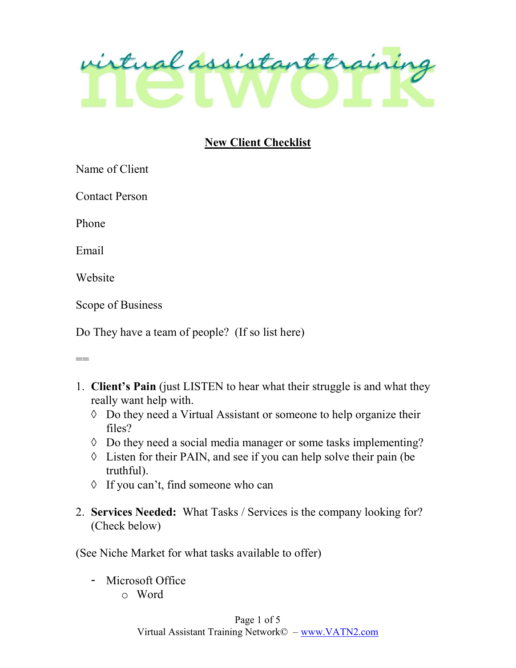

## New Client Checklist

Name of Client

Contact Person

Phone

Email

Website

Scope of Business

Do They have a team of people? (If so list here)

 $=$ 

- 1. Client's Pain (just LISTEN to hear what their struggle is and what they really want help with.
	- $\Diamond$  Do they need a Virtual Assistant or someone to help organize their files?
	- Do they need a social media manager or some tasks implementing?
	- $\Diamond$  Listen for their PAIN, and see if you can help solve their pain (be truthful).
	- $\Diamond$  If you can't, find someone who can
- 2. Services Needed: What Tasks / Services is the company looking for? (Check below)

(See Niche Market for what tasks available to offer)

- Microsoft Office
	- o Word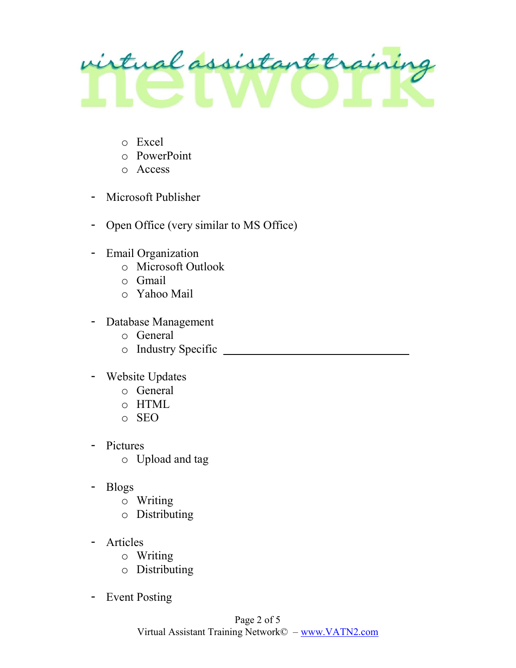

- o Excel
- o PowerPoint
- o Access
- Microsoft Publisher
- Open Office (very similar to MS Office)
- Email Organization
	- o Microsoft Outlook
	- o Gmail
	- o Yahoo Mail
- Database Management
	- o General
	- o Industry Specific
- Website Updates
	- o General
	- o HTML
	- o SEO
- Pictures
	- o Upload and tag
- Blogs
	- o Writing
	- o Distributing
- Articles
	- o Writing
	- o Distributing
- Event Posting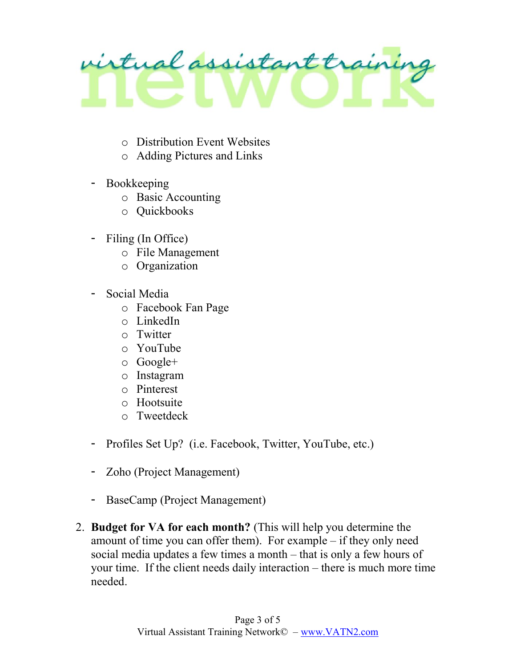

- o Distribution Event Websites
- o Adding Pictures and Links
- Bookkeeping
	- o Basic Accounting
	- o Quickbooks
- Filing (In Office)
	- o File Management
	- o Organization
- Social Media
	- o Facebook Fan Page
	- o LinkedIn
	- o Twitter
	- o YouTube
	- o Google+
	- o Instagram
	- o Pinterest
	- o Hootsuite
	- o Tweetdeck
- Profiles Set Up? (i.e. Facebook, Twitter, YouTube, etc.)
- Zoho (Project Management)
- BaseCamp (Project Management)
- 2. Budget for VA for each month? (This will help you determine the amount of time you can offer them). For example – if they only need social media updates a few times a month – that is only a few hours of your time. If the client needs daily interaction – there is much more time needed.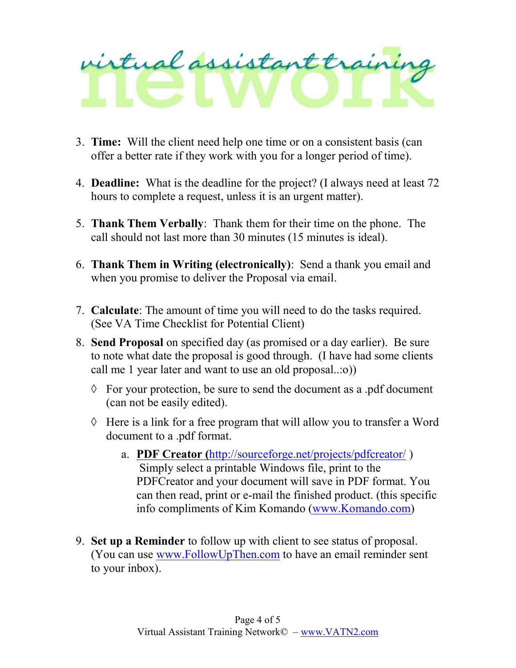## irtual assistant traini

- 3. Time: Will the client need help one time or on a consistent basis (can offer a better rate if they work with you for a longer period of time).
- 4. Deadline: What is the deadline for the project? (I always need at least 72 hours to complete a request, unless it is an urgent matter).
- 5. Thank Them Verbally: Thank them for their time on the phone. The call should not last more than 30 minutes (15 minutes is ideal).
- 6. Thank Them in Writing (electronically): Send a thank you email and when you promise to deliver the Proposal via email.
- 7. Calculate: The amount of time you will need to do the tasks required. (See VA Time Checklist for Potential Client)
- 8. Send Proposal on specified day (as promised or a day earlier). Be sure to note what date the proposal is good through. (I have had some clients call me 1 year later and want to use an old proposal..:o))
	- $\Diamond$  For your protection, be sure to send the document as a .pdf document (can not be easily edited).
	- $\Diamond$  Here is a link for a free program that will allow you to transfer a Word document to a .pdf format.
		- a. PDF Creator (http://sourceforge.net/projects/pdfcreator/ ) Simply select a printable Windows file, print to the PDFCreator and your document will save in PDF format. You can then read, print or e-mail the finished product. (this specific info compliments of Kim Komando (www.Komando.com)
- 9. Set up a Reminder to follow up with client to see status of proposal. (You can use www.FollowUpThen.com to have an email reminder sent to your inbox).